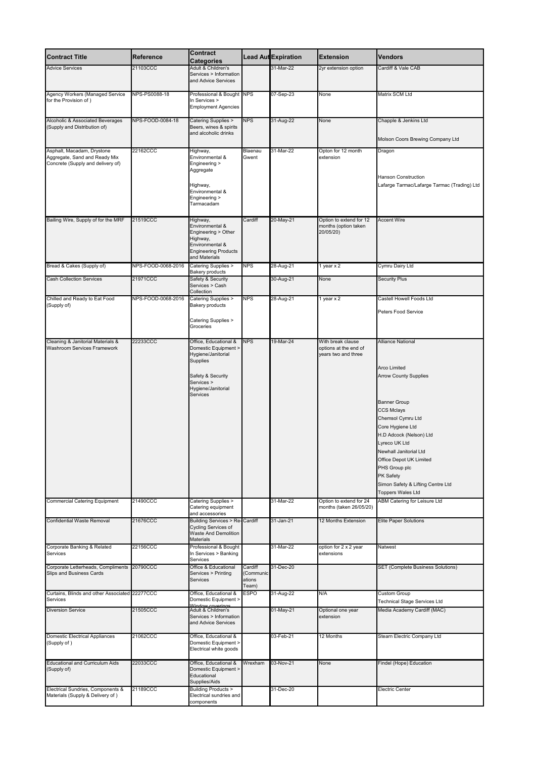| <b>Contract Title</b>                                                                            | <b>Reference</b>                       | <b>Contract</b><br><b>Categories</b>                                                                                                                        |                                         | Lead AutExpiration | <b>Extension</b>                                                  | <b>Vendors</b>                                                                                                                                                                                                                                                                                                                                                       |
|--------------------------------------------------------------------------------------------------|----------------------------------------|-------------------------------------------------------------------------------------------------------------------------------------------------------------|-----------------------------------------|--------------------|-------------------------------------------------------------------|----------------------------------------------------------------------------------------------------------------------------------------------------------------------------------------------------------------------------------------------------------------------------------------------------------------------------------------------------------------------|
| <b>Advice Services</b>                                                                           | 21103CCC                               | Adult & Children's<br>Services > Information<br>and Advice Services                                                                                         |                                         | 31-Mar-22          | 2yr extension option                                              | Cardiff & Vale CAB                                                                                                                                                                                                                                                                                                                                                   |
| <b>Agency Workers (Managed Service</b><br>for the Provision of)                                  | NPS-PS0088-18                          | Professional & Bought NPS<br>In Services ><br><b>Employment Agencies</b>                                                                                    |                                         | 07-Sep-23          | None                                                              | Matrix SCM Ltd                                                                                                                                                                                                                                                                                                                                                       |
| Alcoholic & Associated Beverages<br>(Supply and Distribution of)                                 | NPS-FOOD-0084-18                       | Catering Supplies ><br>Beers, wines & spirits<br>and alcoholic drinks                                                                                       | <b>NPS</b>                              | 31-Aug-22          | None                                                              | Chapple & Jenkins Ltd<br>Molson Coors Brewing Company Ltd                                                                                                                                                                                                                                                                                                            |
| Asphalt, Macadam, Drystone<br>Aggregate, Sand and Ready Mix<br>Concrete (Supply and delivery of) | 22162CCC                               | Highway,<br>Environmental &<br>Engineering ><br>Aggregate<br>Highway,<br>Environmental &<br>Engineering ><br>Tarmacadam                                     | Blaenau<br>Gwent                        | 31-Mar-22          | Opton for 12 month<br>extension                                   | Dragon<br><b>Hanson Construction</b><br>Lafarge Tarmac/Lafarge Tarmac (Trading) Ltd                                                                                                                                                                                                                                                                                  |
| Bailing Wire, Supply of for the MRF                                                              | 21519CCC                               | Highway,<br>Environmental &<br>Engineering > Other<br>Highway,<br>Environmental &<br><b>Engineering Products</b><br>and Materials                           | Cardiff                                 | 20-May-21          | Option to extend for 12<br>months (option taken<br>20/05/20)      | <b>Accent Wire</b>                                                                                                                                                                                                                                                                                                                                                   |
| Bread & Cakes (Supply of)                                                                        | NPS-FOOD-0068-2016                     | Catering Supplies ><br><b>Bakery products</b>                                                                                                               | <b>NPS</b>                              | 28-Aug-21          | 1 year $x$ 2                                                      | Cymru Dairy Ltd                                                                                                                                                                                                                                                                                                                                                      |
| <b>Cash Collection Services</b>                                                                  | 21971CCC                               | Safety & Security<br>Services > Cash<br>Collection                                                                                                          |                                         | 30-Aug-21          | None                                                              | <b>Security Plus</b>                                                                                                                                                                                                                                                                                                                                                 |
| Chilled and Ready to Eat Food<br>(Supply of)                                                     | NPS-FOOD-0068-2016 Catering Supplies > | <b>Bakery products</b><br>Catering Supplies ><br>Groceries                                                                                                  | <b>NPS</b>                              | 28-Aug-21          | 1 year $x$ 2                                                      | Castell Howell Foods Ltd<br>Peters Food Service                                                                                                                                                                                                                                                                                                                      |
| Cleaning & Janitorial Materials &<br><b>Washroom Services Framework</b>                          | 22233CCC                               | Office, Educational &<br>Domestic Equipment ><br>Hygiene/Janitorial<br>Supplies<br>Safety & Security<br>Services ><br>Hygiene/Janitorial<br><b>Services</b> | <b>NPS</b>                              | 19-Mar-24          | With break clause<br>options at the end of<br>years two and three | <b>Alliance National</b><br><b>Arco Limited</b><br><b>Arrow County Supplies</b><br><b>Banner Group</b><br><b>CCS Mclays</b><br>Chemsol Cymru Ltd<br>Core Hygiene Ltd<br>1.D Adcock (Nelson) Ltd<br>Lyreco UK Ltd<br>Newhall Janitorial Ltd<br>Office Depot UK Limited<br>PHS Group plc<br>PK Safety<br>Simon Safety & Lifting Centre Ltd<br><b>Toppers Wales Ltd</b> |
| <b>Commercial Catering Equipment</b>                                                             | 21490CCC                               | Catering Supplies ><br>Catering equipment<br>and accessories                                                                                                |                                         | 31-Mar-22          | Option to extend for 24<br>months (taken 26/05/20)                | <b>ABM Catering for Leisure Ltd</b>                                                                                                                                                                                                                                                                                                                                  |
| <b>Confidential Waste Removal</b>                                                                | 21676CCC                               | <b>Building Services &gt; Re-Cardiff</b><br><b>Cycling Services of</b><br><b>Waste And Demolition</b><br>Materials                                          |                                         | 31-Jan-21          | 12 Months Extension                                               | <b>Elite Paper Solutions</b>                                                                                                                                                                                                                                                                                                                                         |
| <b>Corporate Banking &amp; Related</b><br>Services                                               | 22156CCC                               | Professional & Bought<br>In Services > Banking<br>Services                                                                                                  |                                         | 31-Mar-22          | option for 2 x 2 year<br>extensions                               | Natwest                                                                                                                                                                                                                                                                                                                                                              |
| Corporate Letterheads, Compliments 20790CCC<br>Slips and Business Cards                          |                                        | Office & Educational<br>Services > Printing<br>Services                                                                                                     | Cardiff<br>(Communic<br>ations<br>Team) | 31-Dec-20          |                                                                   | <b>SET (Complete Business Solutions)</b>                                                                                                                                                                                                                                                                                                                             |
| Curtains, Blinds and other Associated 22277CCC<br>Services                                       |                                        | Office, Educational &<br>Domestic Equipment >                                                                                                               | <b>ESPO</b>                             | 31-Aug-22          | N/A                                                               | <b>Custom Group</b><br><b>Technical Stage Services Ltd</b>                                                                                                                                                                                                                                                                                                           |
| <b>Diversion Service</b>                                                                         | 21505CCC                               | Window coverings<br>Adult & Children's<br>Services > Information<br>and Advice Services                                                                     |                                         | 01-May-21          | Optional one year<br>extension                                    | Media Academy Cardiff (MAC)                                                                                                                                                                                                                                                                                                                                          |
| <b>Domestic Electrical Appliances</b><br>(Supply of)                                             | 21062CCC                               | Office, Educational &<br>Domestic Equipment ><br>Electrical white goods                                                                                     |                                         | 03-Feb-21          | 12 Months                                                         | Stearn Electric Company Ltd                                                                                                                                                                                                                                                                                                                                          |
| <b>Educational and Curriculum Aids</b><br>(Supply of)                                            | 22033CCC                               | Office, Educational &<br>Domestic Equipment ><br>Educational<br>Supplies/Aids                                                                               | Wrexham                                 | 03-Nov-21          | None                                                              | Findel (Hope) Education                                                                                                                                                                                                                                                                                                                                              |
| Electrical Sundries, Components &<br>Materials (Supply & Delivery of)                            | 21189CCC                               | <b>Building Products &gt;</b><br>Electrical sundries and<br>components                                                                                      |                                         | 31-Dec-20          |                                                                   | Electric Center                                                                                                                                                                                                                                                                                                                                                      |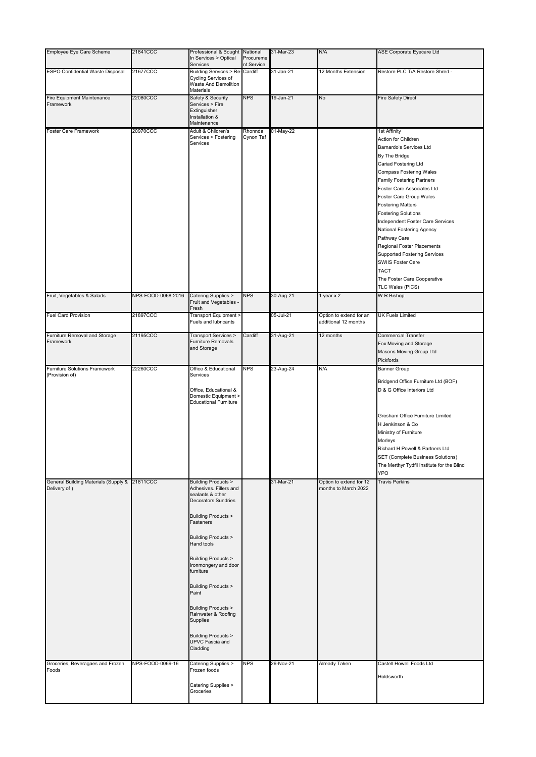| <b>Employee Eye Care Scheme</b>                                   | 21841CCC           | Professional & Bought National                                                                                                                                                                                                                                                                                                                                                                                                                          |            | 31-Mar-23 | N/A                                             | ASE Corporate Eyecare Ltd                                                                                                                                                                                                                                                                                                             |
|-------------------------------------------------------------------|--------------------|---------------------------------------------------------------------------------------------------------------------------------------------------------------------------------------------------------------------------------------------------------------------------------------------------------------------------------------------------------------------------------------------------------------------------------------------------------|------------|-----------|-------------------------------------------------|---------------------------------------------------------------------------------------------------------------------------------------------------------------------------------------------------------------------------------------------------------------------------------------------------------------------------------------|
|                                                                   |                    | In Services > Optical                                                                                                                                                                                                                                                                                                                                                                                                                                   | Procureme  |           |                                                 |                                                                                                                                                                                                                                                                                                                                       |
|                                                                   |                    | Services                                                                                                                                                                                                                                                                                                                                                                                                                                                | nt Service |           |                                                 |                                                                                                                                                                                                                                                                                                                                       |
| <b>ESPO Confidential Waste Disposal</b>                           | 21677CCC           | <b>Building Services &gt; Re-Cardiff</b><br>Cycling Services of<br>Waste And Demolition<br><b>Materials</b>                                                                                                                                                                                                                                                                                                                                             |            | 31-Jan-21 | 12 Months Extension                             | Restore PLC T/A Restore Shred -                                                                                                                                                                                                                                                                                                       |
| <b>Fire Equipment Maintenance</b>                                 | 22080CCC           | Safety & Security                                                                                                                                                                                                                                                                                                                                                                                                                                       | <b>NPS</b> | 19-Jan-21 | $\overline{N}$                                  | <b>Fire Safety Direct</b>                                                                                                                                                                                                                                                                                                             |
| Framework                                                         |                    | Services > Fire<br>Extinguisher<br>Installation &<br>Maintenance                                                                                                                                                                                                                                                                                                                                                                                        |            |           |                                                 |                                                                                                                                                                                                                                                                                                                                       |
| <b>Foster Care Framework</b>                                      | 20970CCC           | Adult & Children's                                                                                                                                                                                                                                                                                                                                                                                                                                      | Rhonnda    | 01-May-22 |                                                 | 1st Affinity                                                                                                                                                                                                                                                                                                                          |
|                                                                   |                    | Services > Fostering<br>Services                                                                                                                                                                                                                                                                                                                                                                                                                        | Cynon Taf  |           |                                                 | Action for Children<br>Barnardo's Services Ltd<br>By The Bridge<br>Cariad Fostering Ltd<br><b>Compass Fostering Wales</b><br><b>Family Fostering Partners</b>                                                                                                                                                                         |
|                                                                   |                    |                                                                                                                                                                                                                                                                                                                                                                                                                                                         |            |           |                                                 | <b>Foster Care Associates Ltd</b><br>Foster Care Group Wales<br><b>Fostering Matters</b><br><b>Fostering Solutions</b><br>Independent Foster Care Services<br><b>National Fostering Agency</b><br>Pathway Care<br><b>Regional Foster Placements</b><br><b>Supported Fostering Services</b><br><b>SWIIS Foster Care</b><br><b>TACT</b> |
|                                                                   |                    |                                                                                                                                                                                                                                                                                                                                                                                                                                                         |            |           |                                                 | The Foster Care Cooperative                                                                                                                                                                                                                                                                                                           |
|                                                                   |                    |                                                                                                                                                                                                                                                                                                                                                                                                                                                         |            |           |                                                 | TLC Wales (PICS)                                                                                                                                                                                                                                                                                                                      |
| Fruit, Vegetables & Salads                                        | NPS-FOOD-0068-2016 | <b>Catering Supplies &gt;</b><br>Fruit and Vegetables -<br>Fresh                                                                                                                                                                                                                                                                                                                                                                                        | <b>NPS</b> | 30-Aug-21 | 1 year $x$ 2                                    | W R Bishop                                                                                                                                                                                                                                                                                                                            |
| <b>Fuel Card Provision</b>                                        | 21897CCC           | Transport Equipment ><br>Fuels and lubricants                                                                                                                                                                                                                                                                                                                                                                                                           |            | 05-Jul-21 | Option to extend for an<br>additional 12 months | <b>UK Fuels Limited</b>                                                                                                                                                                                                                                                                                                               |
| <b>Furniture Removal and Storage</b><br>Framework                 | 21195CCC           | Transport Services ><br><b>Furniture Removals</b><br>and Storage                                                                                                                                                                                                                                                                                                                                                                                        | Cardiff    | 31-Aug-21 | 12 months                                       | <b>Commercial Transfer</b><br>Fox Moving and Storage<br>Masons Moving Group Ltd<br><b>Pickfords</b>                                                                                                                                                                                                                                   |
| <b>Furniture Solutions Framework</b>                              | 22260CCC           | Office & Educational                                                                                                                                                                                                                                                                                                                                                                                                                                    | <b>NPS</b> | 23-Aug-24 | N/A                                             | <b>Banner Group</b>                                                                                                                                                                                                                                                                                                                   |
| (Provision of)<br><b>General Building Materials (Supply &amp;</b> | 21811CCC           | Services<br>Office, Educational &<br>Domestic Equipment ><br><b>Educational Furniture</b><br><b>Building Products &gt;</b>                                                                                                                                                                                                                                                                                                                              |            | 31-Mar-21 | Option to extend for 12                         | Bridgend Office Furniture Ltd (BOF)<br>D & G Office Interiors Ltd<br>Gresham Office Furniture Limited<br>H Jenkinson & Co<br>Ministry of Furniture<br>Morleys<br>Richard H Powell & Partners Ltd<br><b>SET (Complete Business Solutions)</b><br>The Merthyr Tydfil Institute for the Blind<br><b>YPO</b><br><b>Travis Perkins</b>     |
| Delivery of)<br>Groceries, Beveragaes and Frozen                  | NPS-FOOD-0069-16   | Adhesives. Fillers and<br>sealants & other<br><b>Decorators Sundries</b><br><b>Building Products &gt;</b><br>Fasteners<br><b>Building Products &gt;</b><br>Hand tools<br><b>Building Products &gt;</b><br>Ironmongery and door<br>furniture<br><b>Building Products &gt;</b><br>Paint<br><b>Building Products &gt;</b><br>Rainwater & Roofing<br>Supplies<br><b>Building Products &gt;</b><br><b>UPVC Fascia and</b><br>Cladding<br>Catering Supplies > | <b>NPS</b> | 26-Nov-21 | months to March 2022<br>Already Taken           | Castell Howell Foods Ltd                                                                                                                                                                                                                                                                                                              |
| Foods                                                             |                    | Frozen foods<br>Catering Supplies ><br>Groceries                                                                                                                                                                                                                                                                                                                                                                                                        |            |           |                                                 | Holdsworth                                                                                                                                                                                                                                                                                                                            |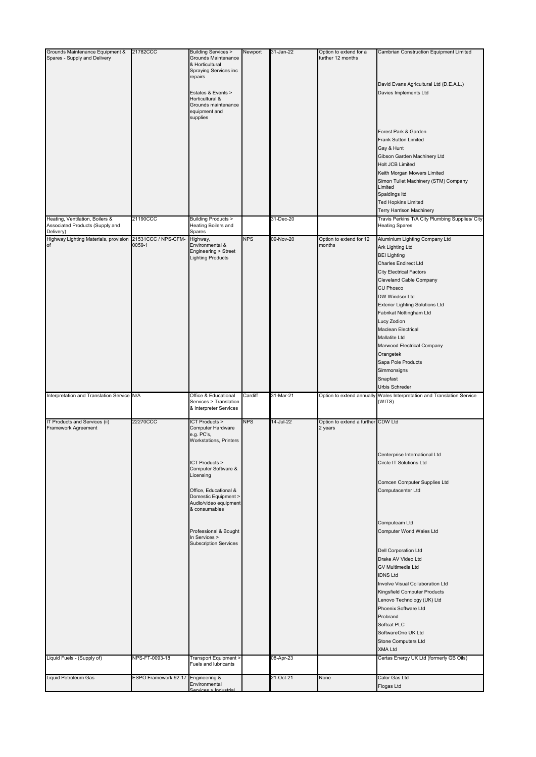| Grounds Maintenance Equipment &                                    | 21782CCC                           | <b>Building Services &gt;</b>                                          | Newport    | 31-Jan-22 | Option to extend for a                        | <b>Cambrian Construction Equipment Limited</b>                                           |
|--------------------------------------------------------------------|------------------------------------|------------------------------------------------------------------------|------------|-----------|-----------------------------------------------|------------------------------------------------------------------------------------------|
| Spares - Supply and Delivery                                       |                                    | <b>Grounds Maintenance</b><br>& Horticultural<br>Spraying Services inc |            |           | further 12 months                             |                                                                                          |
|                                                                    |                                    | repairs                                                                |            |           |                                               | David Evans Agricultural Ltd (D.E.A.L.)                                                  |
|                                                                    |                                    | Estates & Events ><br>Horticultural &                                  |            |           |                                               | Davies Implements Ltd                                                                    |
|                                                                    |                                    | Grounds maintenance<br>equipment and<br>supplies                       |            |           |                                               |                                                                                          |
|                                                                    |                                    |                                                                        |            |           |                                               | Forest Park & Garden                                                                     |
|                                                                    |                                    |                                                                        |            |           |                                               | <b>Frank Sutton Limited</b>                                                              |
|                                                                    |                                    |                                                                        |            |           |                                               | Gay & Hunt<br>Gibson Garden Machinery Ltd                                                |
|                                                                    |                                    |                                                                        |            |           |                                               | <b>Holt JCB Limited</b>                                                                  |
|                                                                    |                                    |                                                                        |            |           |                                               | Keith Morgan Mowers Limited<br>Simon Tullet Machinery (STM) Company                      |
|                                                                    |                                    |                                                                        |            |           |                                               | Limited                                                                                  |
|                                                                    |                                    |                                                                        |            |           |                                               | Spaldings Itd<br><b>Ted Hopkins Limited</b>                                              |
|                                                                    |                                    |                                                                        |            |           |                                               | <b>Terry Harrison Machinery</b>                                                          |
| Heating, Ventilation, Boilers &<br>Associated Products (Supply and | 21190CCC                           | <b>Building Products &gt;</b><br>Heating Boilers and                   |            | 31-Dec-20 |                                               | Travis Perkins T/A City Plumbing Supplies/ City<br><b>Heating Spares</b>                 |
| Delivery)<br>Highway Lighting Materials, provision                 | 21531CCC / NPS-CFM-                | Spares                                                                 | <b>NPS</b> | 09-Nov-20 | Option to extend for 12                       | Aluminium Lighting Company Ltd                                                           |
| of                                                                 | 0059-1                             | Highway,<br>Environmental &                                            |            |           | months                                        | <b>Ark Lighting Ltd</b>                                                                  |
|                                                                    |                                    | Engineering > Street<br><b>Lighting Products</b>                       |            |           |                                               | <b>BEI Lighting</b>                                                                      |
|                                                                    |                                    |                                                                        |            |           |                                               | <b>Charles Endirect Ltd</b><br><b>City Electrical Factors</b>                            |
|                                                                    |                                    |                                                                        |            |           |                                               | <b>Cleveland Cable Company</b>                                                           |
|                                                                    |                                    |                                                                        |            |           |                                               | <b>CU Phosco</b>                                                                         |
|                                                                    |                                    |                                                                        |            |           |                                               | DW Windsor Ltd<br><b>Exterior Lighting Solutions Ltd</b>                                 |
|                                                                    |                                    |                                                                        |            |           |                                               | Fabrikat Nottingham Ltd                                                                  |
|                                                                    |                                    |                                                                        |            |           |                                               | Lucy Zodion                                                                              |
|                                                                    |                                    |                                                                        |            |           |                                               | Maclean Electrical<br>Mallatite Ltd                                                      |
|                                                                    |                                    |                                                                        |            |           |                                               | Marwood Electrical Company                                                               |
|                                                                    |                                    |                                                                        |            |           |                                               | Orangetek                                                                                |
|                                                                    |                                    |                                                                        |            |           |                                               | Sapa Pole Products<br>Simmonsigns                                                        |
|                                                                    |                                    |                                                                        |            |           |                                               | Snapfast                                                                                 |
| Interpretation and Translation Service N/A                         |                                    | Office & Educational                                                   | Cardiff    | 31-Mar-21 |                                               | Urbis Schreder<br>Option to extend annually Wales Interpretation and Translation Service |
|                                                                    |                                    | Services > Translation<br>& Interpreter Services                       |            |           |                                               | (WITS)                                                                                   |
| IT Products and Services (ii)<br><b>Framework Agreement</b>        | 22270CCC                           | <b>ICT Products &gt;</b><br>Computer Hardware                          | <b>NPS</b> | 14-Jul-22 | Option to extend a further CDW Ltd<br>2 years |                                                                                          |
|                                                                    |                                    | e.g. PC's,                                                             |            |           |                                               |                                                                                          |
|                                                                    |                                    | Workstations, Printers                                                 |            |           |                                               |                                                                                          |
|                                                                    |                                    | ICT Products >                                                         |            |           |                                               | Centerprise International Ltd<br><b>Circle IT Solutions Ltd</b>                          |
|                                                                    |                                    | Computer Software &                                                    |            |           |                                               |                                                                                          |
|                                                                    |                                    | Licensing                                                              |            |           |                                               | Comcen Computer Supplies Ltd                                                             |
|                                                                    |                                    | Office, Educational &                                                  |            |           |                                               | Computacenter Ltd                                                                        |
|                                                                    |                                    | Domestic Equipment ><br>Audio/video equipment<br>& consumables         |            |           |                                               |                                                                                          |
|                                                                    |                                    |                                                                        |            |           |                                               |                                                                                          |
|                                                                    |                                    | Professional & Bought                                                  |            |           |                                               | Computeam Ltd<br>Computer World Wales Ltd                                                |
|                                                                    |                                    | In Services ><br><b>Subscription Services</b>                          |            |           |                                               |                                                                                          |
|                                                                    |                                    |                                                                        |            |           |                                               | <b>Dell Corporation Ltd</b>                                                              |
|                                                                    |                                    |                                                                        |            |           |                                               | Drake AV Video Ltd<br><b>GV Multimedia Ltd</b>                                           |
|                                                                    |                                    |                                                                        |            |           |                                               | <b>IDNS Ltd</b>                                                                          |
|                                                                    |                                    |                                                                        |            |           |                                               | Involve Visual Collaboration Ltd                                                         |
|                                                                    |                                    |                                                                        |            |           |                                               | Kingsfield Computer Products<br>Lenovo Technology (UK) Ltd                               |
|                                                                    |                                    |                                                                        |            |           |                                               | Phoenix Software Ltd                                                                     |
|                                                                    |                                    |                                                                        |            |           |                                               | Probrand                                                                                 |
|                                                                    |                                    |                                                                        |            |           |                                               | Softcat PLC<br>SoftwareOne UK Ltd                                                        |
|                                                                    |                                    |                                                                        |            |           |                                               | <b>Stone Computers Ltd</b>                                                               |
|                                                                    |                                    |                                                                        |            |           |                                               | <b>XMA Ltd</b>                                                                           |
| Liquid Fuels - (Supply of)                                         | NPS-FT-0093-18                     | Transport Equipment ><br><b>Fuels and lubricants</b>                   |            | 08-Apr-23 |                                               | Certas Energy UK Ltd (formerly GB Oils)                                                  |
| Liquid Petroleum Gas                                               | ESPO Framework 92-17 Engineering & | Environmental                                                          |            | 21-Oct-21 | None                                          | Calor Gas Ltd<br>Flogas Ltd                                                              |
|                                                                    |                                    | Services > Industrial                                                  |            |           |                                               |                                                                                          |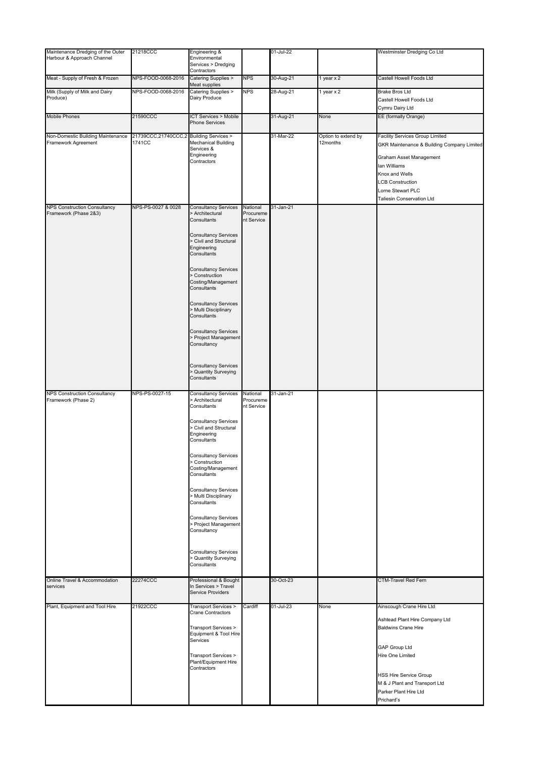| Maintenance Dredging of the Outer                            | 21218CCC                                          | Engineering &                                                                                      |                                     | 01-Jul-22 |                     | Westminster Dredging Co Ltd                                                                                                                                                                            |
|--------------------------------------------------------------|---------------------------------------------------|----------------------------------------------------------------------------------------------------|-------------------------------------|-----------|---------------------|--------------------------------------------------------------------------------------------------------------------------------------------------------------------------------------------------------|
| Harbour & Approach Channel                                   |                                                   | Environmental<br>Services > Dredging                                                               |                                     |           |                     |                                                                                                                                                                                                        |
| Meat - Supply of Fresh & Frozen                              | NPS-FOOD-0068-2016                                | Contractors<br>Catering Supplies >                                                                 | <b>NPS</b>                          | 30-Aug-21 | 1 year $x$ 2        | Castell Howell Foods Ltd                                                                                                                                                                               |
| Milk (Supply of Milk and Dairy                               | NPS-FOOD-0068-2016                                | Meat supplies<br>Catering Supplies >                                                               | <b>NPS</b>                          | 28-Aug-21 | 1 year x 2          | <b>Brake Bros Ltd</b>                                                                                                                                                                                  |
| Produce)                                                     |                                                   | Dairy Produce                                                                                      |                                     |           |                     | Castell Howell Foods Ltd<br>Cymru Dairy Ltd                                                                                                                                                            |
| <b>Mobile Phones</b>                                         | 21590CCC                                          | <b>ICT Services &gt; Mobile</b><br>Phone Services                                                  |                                     | 31-Aug-21 | None                | EE (formally Orange)                                                                                                                                                                                   |
|                                                              |                                                   |                                                                                                    |                                     | 31-Mar-22 | Option to extend by | <b>Facility Services Group Limited</b>                                                                                                                                                                 |
| Non-Domestic Building Maintenance<br>Framework Agreement     | 21739CCC,21740CCC,2 Building Services ><br>1741CC | Mechanical Building<br>Services &<br>Engineering<br>Contractors                                    |                                     |           | 12months            | <b>GKR Maintenance &amp; Building Company Limited</b><br>Graham Asset Management<br>lan Williams<br>Knox and Wells<br><b>LCB Construction</b><br>Lorne Stewart PLC<br><b>Taliesin Conservation Ltd</b> |
| <b>NPS Construction Consultancy</b><br>Framework (Phase 2&3) | NPS-PS-0027 & 0028                                | <b>Consultancy Services</b><br>> Architectural<br>Consultants<br><b>Consultancy Services</b>       | National<br>Procureme<br>nt Service | 31-Jan-21 |                     |                                                                                                                                                                                                        |
|                                                              |                                                   | > Civil and Structural<br>Engineering<br>Consultants                                               |                                     |           |                     |                                                                                                                                                                                                        |
|                                                              |                                                   | <b>Consultancy Services</b><br>> Construction<br>Costing/Management<br>Consultants                 |                                     |           |                     |                                                                                                                                                                                                        |
|                                                              |                                                   | <b>Consultancy Services</b><br>> Multi Disciplinary<br>Consultants                                 |                                     |           |                     |                                                                                                                                                                                                        |
|                                                              |                                                   | <b>Consultancy Services</b><br>> Project Management<br>Consultancy                                 |                                     |           |                     |                                                                                                                                                                                                        |
|                                                              |                                                   | <b>Consultancy Services</b><br>> Quantity Surveying<br>Consultants                                 |                                     |           |                     |                                                                                                                                                                                                        |
| <b>NPS Construction Consultancy</b><br>Framework (Phase 2)   | NPS-PS-0027-15                                    | <b>Consultancy Services</b><br>> Architectural                                                     | National<br>Procureme               | 31-Jan-21 |                     |                                                                                                                                                                                                        |
|                                                              |                                                   | Consultants<br><b>Consultancy Services</b><br>> Civil and Structural<br>Engineering<br>Consultants | nt Service                          |           |                     |                                                                                                                                                                                                        |
|                                                              |                                                   | <b>Consultancy Services</b><br>> Construction<br>Costing/Management<br>Consultants                 |                                     |           |                     |                                                                                                                                                                                                        |
|                                                              |                                                   | <b>Consultancy Services</b><br>> Multi Disciplinary<br>Consultants                                 |                                     |           |                     |                                                                                                                                                                                                        |
|                                                              |                                                   | <b>Consultancy Services</b><br>> Project Management<br>Consultancy                                 |                                     |           |                     |                                                                                                                                                                                                        |
|                                                              |                                                   | <b>Consultancy Services</b><br>> Quantity Surveying<br>Consultants                                 |                                     |           |                     |                                                                                                                                                                                                        |
| Online Travel & Accommodation<br>services                    | 22274CCC                                          | Professional & Bought<br>In Services > Travel<br><b>Service Providers</b>                          |                                     | 30-Oct-23 |                     | <b>CTM-Travel Red Fern</b>                                                                                                                                                                             |
| Plant, Equipment and Tool Hire                               | 21922CCC                                          | <b>Transport Services &gt;</b><br>Crane Contractors                                                | Cardiff                             | 01-Jul-23 | None                | Ainscough Crane Hire Ltd                                                                                                                                                                               |
|                                                              |                                                   | Transport Services ><br>Equipment & Tool Hire                                                      |                                     |           |                     | Ashtead Plant Hire Company Ltd<br><b>Baldwins Crane Hire</b>                                                                                                                                           |
|                                                              |                                                   | Services<br>Transport Services >                                                                   |                                     |           |                     | <b>GAP Group Ltd</b><br>Hire One Limited                                                                                                                                                               |
|                                                              |                                                   | Plant/Equipment Hire<br>Contractors                                                                |                                     |           |                     | <b>HSS Hire Service Group</b><br>M & J Plant and Transport Ltd<br>Parker Plant Hire Ltd<br>Prichard's                                                                                                  |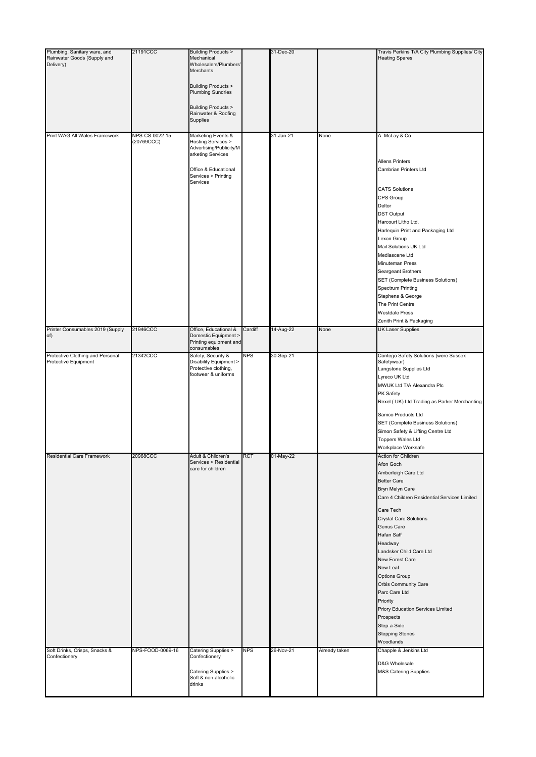| Plumbing, Sanitary ware, and<br>Rainwater Goods (Supply and<br>Delivery) | 21191CCC         | <b>Building Products &gt;</b><br>Mechanical<br>Wholesalers/Plumbers'<br>Merchants      |            | 31-Dec-20 |               | Travis Perkins T/A City Plumbing Supplies/ City<br><b>Heating Spares</b> |
|--------------------------------------------------------------------------|------------------|----------------------------------------------------------------------------------------|------------|-----------|---------------|--------------------------------------------------------------------------|
|                                                                          |                  | <b>Building Products &gt;</b><br><b>Plumbing Sundries</b>                              |            |           |               |                                                                          |
|                                                                          |                  | <b>Building Products &gt;</b><br>Rainwater & Roofing<br><b>Supplies</b>                |            |           |               |                                                                          |
| Print WAG All Wales Framework                                            | NPS-CS-0022-15   | Marketing Events &                                                                     |            | 31-Jan-21 | None          | A. McLay & Co.                                                           |
|                                                                          | (20769CCC)       | <b>Hosting Services &gt;</b><br>Advertising/Publicity/M<br>arketing Services           |            |           |               |                                                                          |
|                                                                          |                  | Office & Educational<br>Services > Printing<br>Services                                |            |           |               | <b>Allens Printers</b><br><b>Cambrian Printers Ltd</b>                   |
|                                                                          |                  |                                                                                        |            |           |               | <b>CATS Solutions</b><br>CPS Group                                       |
|                                                                          |                  |                                                                                        |            |           |               | Deltor                                                                   |
|                                                                          |                  |                                                                                        |            |           |               | <b>DST Output</b><br>Harcourt Litho Ltd.                                 |
|                                                                          |                  |                                                                                        |            |           |               | Harlequin Print and Packaging Ltd                                        |
|                                                                          |                  |                                                                                        |            |           |               | Lexon Group                                                              |
|                                                                          |                  |                                                                                        |            |           |               | Mail Solutions UK Ltd                                                    |
|                                                                          |                  |                                                                                        |            |           |               | Mediascene Ltd                                                           |
|                                                                          |                  |                                                                                        |            |           |               | <b>Minuteman Press</b>                                                   |
|                                                                          |                  |                                                                                        |            |           |               | Seargeant Brothers                                                       |
|                                                                          |                  |                                                                                        |            |           |               | <b>SET (Complete Business Solutions)</b>                                 |
|                                                                          |                  |                                                                                        |            |           |               | <b>Spectrum Printing</b><br>Stephens & George                            |
|                                                                          |                  |                                                                                        |            |           |               | The Print Centre                                                         |
|                                                                          |                  |                                                                                        |            |           |               | <b>Westdale Press</b>                                                    |
|                                                                          |                  |                                                                                        |            |           |               | Zenith Print & Packaging                                                 |
| Printer Consumables 2019 (Supply<br>of)                                  | 21946CCC         | Office, Educational &<br>Domestic Equipment ><br>Printing equipment and<br>consumables | Cardiff    | 14-Aug-22 | None          | <b>UK Laser Supplies</b>                                                 |
| Protective Clothing and Personal                                         | 21342CCC         | Safety, Security &                                                                     | <b>NPS</b> | 30-Sep-21 |               | Contego Safety Solutions (were Sussex                                    |
| Protective Equipment                                                     |                  | Disability Equipment ><br>Protective clothing,                                         |            |           |               | Safetywear)<br>Langstone Supplies Ltd                                    |
|                                                                          |                  | footwear & uniforms                                                                    |            |           |               | Lyreco UK Ltd                                                            |
|                                                                          |                  |                                                                                        |            |           |               | MWUK Ltd T/A Alexandra Plc                                               |
|                                                                          |                  |                                                                                        |            |           |               | PK Safety                                                                |
|                                                                          |                  |                                                                                        |            |           |               | Rexel (UK) Ltd Trading as Parker Merchanting                             |
|                                                                          |                  |                                                                                        |            |           |               | Samco Products Ltd                                                       |
|                                                                          |                  |                                                                                        |            |           |               | <b>SET (Complete Business Solutions)</b>                                 |
|                                                                          |                  |                                                                                        |            |           |               | Simon Safety & Lifting Centre Ltd                                        |
|                                                                          |                  |                                                                                        |            |           |               | <b>Toppers Wales Ltd</b>                                                 |
|                                                                          |                  |                                                                                        |            |           |               | Workplace Worksafe                                                       |
| <b>Residential Care Framework</b>                                        | 20968CCC         | Adult & Children's<br>Services > Residential                                           | <b>RCT</b> | 01-May-22 |               | Action for Children<br>Afon Goch                                         |
|                                                                          |                  | care for children                                                                      |            |           |               | Amberleigh Care Ltd                                                      |
|                                                                          |                  |                                                                                        |            |           |               | <b>Better Care</b>                                                       |
|                                                                          |                  |                                                                                        |            |           |               | Bryn Melyn Care                                                          |
|                                                                          |                  |                                                                                        |            |           |               | Care 4 Children Residential Services Limited                             |
|                                                                          |                  |                                                                                        |            |           |               | Care Tech                                                                |
|                                                                          |                  |                                                                                        |            |           |               | <b>Crystal Care Solutions</b>                                            |
|                                                                          |                  |                                                                                        |            |           |               | <b>Genus Care</b>                                                        |
|                                                                          |                  |                                                                                        |            |           |               | Hafan Saff                                                               |
|                                                                          |                  |                                                                                        |            |           |               | Headway                                                                  |
|                                                                          |                  |                                                                                        |            |           |               | Landsker Child Care Ltd<br><b>New Forest Care</b>                        |
|                                                                          |                  |                                                                                        |            |           |               | New Leaf                                                                 |
|                                                                          |                  |                                                                                        |            |           |               | <b>Options Group</b>                                                     |
|                                                                          |                  |                                                                                        |            |           |               | Orbis Community Care                                                     |
|                                                                          |                  |                                                                                        |            |           |               | Parc Care Ltd                                                            |
|                                                                          |                  |                                                                                        |            |           |               | Priority                                                                 |
|                                                                          |                  |                                                                                        |            |           |               | <b>Priory Education Services Limited</b>                                 |
|                                                                          |                  |                                                                                        |            |           |               | Prospects<br>Step-a-Side                                                 |
|                                                                          |                  |                                                                                        |            |           |               | <b>Stepping Stones</b>                                                   |
|                                                                          |                  |                                                                                        |            |           |               | Woodlands                                                                |
| Soft Drinks, Crisps, Snacks &                                            | NPS-FOOD-0069-16 | Catering Supplies >                                                                    | <b>NPS</b> | 26-Nov-21 | Already taken | Chapple & Jenkins Ltd                                                    |
| Confectionery                                                            |                  | Confectionery                                                                          |            |           |               | D&G Wholesale                                                            |
|                                                                          |                  | Catering Supplies >                                                                    |            |           |               | <b>M&amp;S Catering Supplies</b>                                         |
|                                                                          |                  | Soft & non-alcoholic<br>drinks                                                         |            |           |               |                                                                          |
|                                                                          |                  |                                                                                        |            |           |               |                                                                          |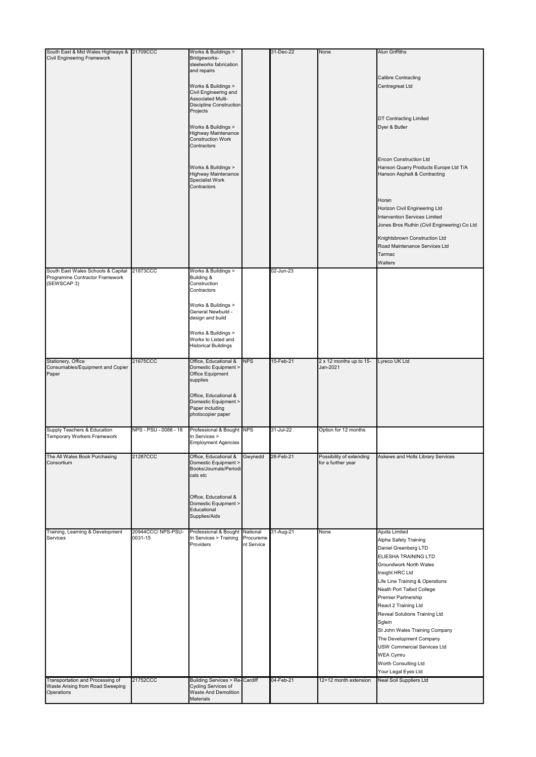| South East & Mid Wales Highways & 21709CCC                           |                              | Works & Buildings >                                    |                         | 31-Dec-22 | None                                | <b>Alun Griffiths</b>                        |
|----------------------------------------------------------------------|------------------------------|--------------------------------------------------------|-------------------------|-----------|-------------------------------------|----------------------------------------------|
| <b>Civil Engineering Framework</b>                                   |                              | Bridgeworks-                                           |                         |           |                                     |                                              |
|                                                                      |                              | steelworks fabrication                                 |                         |           |                                     |                                              |
|                                                                      |                              | and repairs                                            |                         |           |                                     | Calibre Contracting                          |
|                                                                      |                              |                                                        |                         |           |                                     | Centregreat Ltd                              |
|                                                                      |                              | Works & Buildings ><br>Civil Engineering and           |                         |           |                                     |                                              |
|                                                                      |                              | Associated Multi-                                      |                         |           |                                     |                                              |
|                                                                      |                              | <b>Discipline Construction</b>                         |                         |           |                                     |                                              |
|                                                                      |                              | Projects                                               |                         |           |                                     |                                              |
|                                                                      |                              |                                                        |                         |           |                                     | <b>DT Contracting Limited</b>                |
|                                                                      |                              | Works & Buildings >                                    |                         |           |                                     | Dyer & Butler                                |
|                                                                      |                              | <b>Highway Maintenance</b><br><b>Construction Work</b> |                         |           |                                     |                                              |
|                                                                      |                              | Contractors                                            |                         |           |                                     |                                              |
|                                                                      |                              |                                                        |                         |           |                                     |                                              |
|                                                                      |                              |                                                        |                         |           |                                     | <b>Encon Construction Ltd</b>                |
|                                                                      |                              | Works & Buildings >                                    |                         |           |                                     | Hanson Quarry Products Europe Ltd T/A        |
|                                                                      |                              | <b>Highway Maintenance</b>                             |                         |           |                                     | Hanson Asphalt & Contracting                 |
|                                                                      |                              | <b>Specialist Work</b>                                 |                         |           |                                     |                                              |
|                                                                      |                              | Contractors                                            |                         |           |                                     |                                              |
|                                                                      |                              |                                                        |                         |           |                                     | Horan                                        |
|                                                                      |                              |                                                        |                         |           |                                     | <b>Horizon Civil Engineering Ltd</b>         |
|                                                                      |                              |                                                        |                         |           |                                     |                                              |
|                                                                      |                              |                                                        |                         |           |                                     | Intervention Services Limited                |
|                                                                      |                              |                                                        |                         |           |                                     | Jones Bros Ruthin (Civil Engineering) Co Ltd |
|                                                                      |                              |                                                        |                         |           |                                     | Knightsbrown Construction Ltd                |
|                                                                      |                              |                                                        |                         |           |                                     | Road Maintenance Services Ltd                |
|                                                                      |                              |                                                        |                         |           |                                     | Tarmac                                       |
|                                                                      |                              |                                                        |                         |           |                                     |                                              |
|                                                                      |                              |                                                        |                         |           |                                     | Walters                                      |
| South East Wales Schools & Capital<br>Programme Contractor Framework | 21873CCC                     | Works & Buildings ><br>Building &                      |                         | 02-Jun-23 |                                     |                                              |
| (SEWSCAP 3)                                                          |                              | Construction                                           |                         |           |                                     |                                              |
|                                                                      |                              | Contractors                                            |                         |           |                                     |                                              |
|                                                                      |                              |                                                        |                         |           |                                     |                                              |
|                                                                      |                              | Works & Buildings >                                    |                         |           |                                     |                                              |
|                                                                      |                              | General Newbuild -                                     |                         |           |                                     |                                              |
|                                                                      |                              | design and build                                       |                         |           |                                     |                                              |
|                                                                      |                              |                                                        |                         |           |                                     |                                              |
|                                                                      |                              | Works & Buildings >                                    |                         |           |                                     |                                              |
|                                                                      |                              | Works to Listed and<br><b>Historical Buildings</b>     |                         |           |                                     |                                              |
|                                                                      |                              |                                                        |                         |           |                                     |                                              |
| Stationery, Office                                                   | 21675CCC                     | Office, Educational &                                  | <b>NPS</b>              | 15-Feb-21 |                                     | Lyreco UK Ltd                                |
| Consumables/Equipment and Copier                                     |                              | Domestic Equipment >                                   |                         |           | 2 x 12 months up to 15-<br>Jan-2021 |                                              |
| Paper                                                                |                              | Office Equipment                                       |                         |           |                                     |                                              |
|                                                                      |                              | supplies                                               |                         |           |                                     |                                              |
|                                                                      |                              |                                                        |                         |           |                                     |                                              |
|                                                                      |                              | Office, Educational &                                  |                         |           |                                     |                                              |
|                                                                      |                              | Domestic Equipment >                                   |                         |           |                                     |                                              |
|                                                                      |                              | Paper including                                        |                         |           |                                     |                                              |
|                                                                      |                              | photocopier paper                                      |                         |           |                                     |                                              |
| Supply Teachers & Education                                          | NPS - PSU - 0088 - 18        |                                                        |                         | 31-Jul-22 |                                     |                                              |
| <b>Temporary Workers Framework</b>                                   |                              | Professional & Bought NPS<br>In Services >             |                         |           | Option for 12 months                |                                              |
|                                                                      |                              | <b>Employment Agencies</b>                             |                         |           |                                     |                                              |
|                                                                      |                              |                                                        |                         |           |                                     |                                              |
| The All Wales Book Purchasing                                        | 21287CCC                     | Office, Educational &                                  | Gwynedd                 | 28-Feb-21 | Possibility of extending            | Askews and Holts Library Services            |
| Consortium                                                           |                              | Domestic Equipment >                                   |                         |           | for a further year                  |                                              |
|                                                                      |                              | Books/Journals/Periodi<br>cals etc                     |                         |           |                                     |                                              |
|                                                                      |                              |                                                        |                         |           |                                     |                                              |
|                                                                      |                              |                                                        |                         |           |                                     |                                              |
|                                                                      |                              | Office, Educational &                                  |                         |           |                                     |                                              |
|                                                                      |                              | Domestic Equipment >                                   |                         |           |                                     |                                              |
|                                                                      |                              | Educational                                            |                         |           |                                     |                                              |
|                                                                      |                              | Supplies/Aids                                          |                         |           |                                     |                                              |
|                                                                      |                              |                                                        |                         |           |                                     |                                              |
| Training, Learning & Development                                     | 20944CCC/NPS-PSU-<br>0031-15 | Professional & Bought National                         |                         | 31-Aug-21 | None                                | Ajuda Limited                                |
| Services                                                             |                              | In Services > Training<br>Providers                    | Procureme<br>nt Service |           |                                     | Alpha Safety Training                        |
|                                                                      |                              |                                                        |                         |           |                                     | Daniel Greenberg LTD                         |
|                                                                      |                              |                                                        |                         |           |                                     | ELIESHA TRAINING LTD                         |
|                                                                      |                              |                                                        |                         |           |                                     | <b>Groundwork North Wales</b>                |
|                                                                      |                              |                                                        |                         |           |                                     | Insight HRC Ltd                              |
|                                                                      |                              |                                                        |                         |           |                                     | Life Line Training & Operations              |
|                                                                      |                              |                                                        |                         |           |                                     | Neath Port Talbot College                    |
|                                                                      |                              |                                                        |                         |           |                                     | Premier Partnership                          |
|                                                                      |                              |                                                        |                         |           |                                     | React 2 Training Ltd                         |
|                                                                      |                              |                                                        |                         |           |                                     |                                              |
|                                                                      |                              |                                                        |                         |           |                                     | Reveal Solutions Training Ltd                |
|                                                                      |                              |                                                        |                         |           |                                     | Sglein                                       |
|                                                                      |                              |                                                        |                         |           |                                     | St John Wales Training Company               |
|                                                                      |                              |                                                        |                         |           |                                     | The Development Company                      |
|                                                                      |                              |                                                        |                         |           |                                     | <b>JSW Commercial Services Ltd</b>           |
|                                                                      |                              |                                                        |                         |           |                                     | <b>WEA Cymru</b>                             |
|                                                                      |                              |                                                        |                         |           |                                     | Worth Consulting Ltd                         |
|                                                                      |                              |                                                        |                         |           |                                     | Your Legal Eyes Ltd                          |
| Transportation and Processing of                                     | 21752CCC                     | <b>Building Services &gt; Re-Cardiff</b>               |                         | 04-Feb-21 | 12+12 month extension               | <b>Neal Soil Suppliers Ltd</b>               |
| Waste Arising from Road Sweeping                                     |                              | Cycling Services of                                    |                         |           |                                     |                                              |
| Operations                                                           |                              | Waste And Demolition<br><b>Materials</b>               |                         |           |                                     |                                              |
|                                                                      |                              |                                                        |                         |           |                                     |                                              |